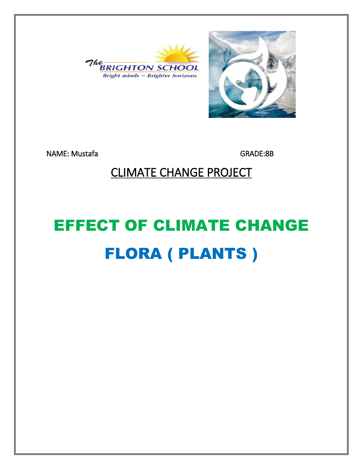



NAME: Mustafa GRADE:8B

#### CLIMATE CHANGE PROJECT

# EFFECT OF CLIMATE CHANGE FLORA ( PLANTS )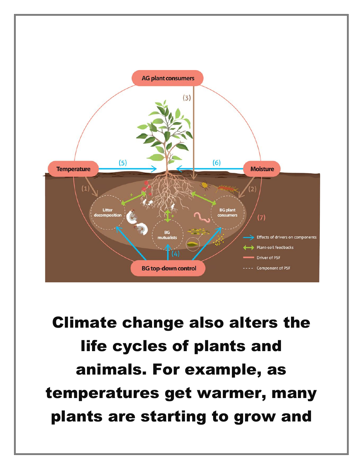

Climate change also alters the life cycles of plants and animals. For example, as temperatures get warmer, many plants are starting to grow and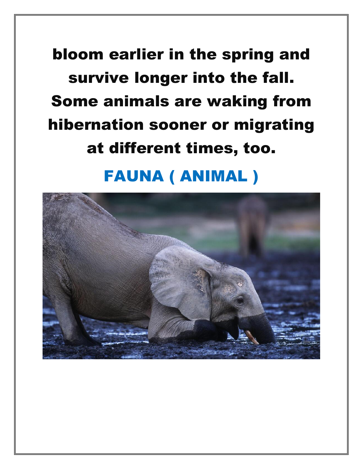## bloom earlier in the spring and survive longer into the fall. Some animals are waking from hibernation sooner or migrating at different times, too.

### FAUNA ( ANIMAL )

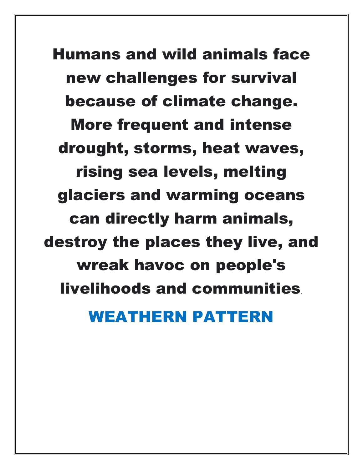Humans and wild animals face new challenges for survival because of climate change. More frequent and intense drought, storms, heat waves, rising sea levels, melting glaciers and warming oceans can directly harm animals, destroy the places they live, and wreak havoc on people's livelihoods and communities.

#### WEATHERN PATTERN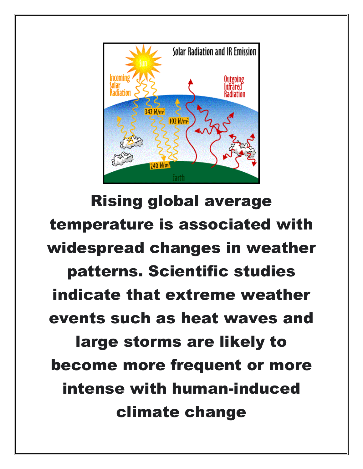

Rising global average temperature is associated with widespread changes in weather patterns. Scientific studies indicate that extreme weather events such as heat waves and large storms are likely to become more frequent or more intense with human-induced climate change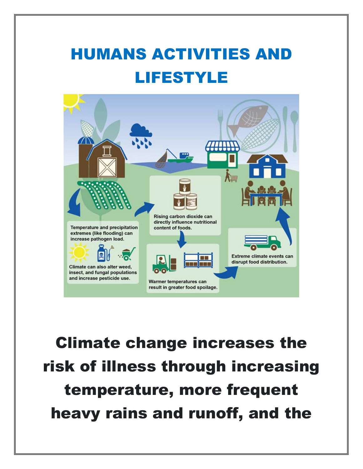### HUMANS ACTIVITIES AND LIFESTYLE



Climate change increases the risk of illness through increasing temperature, more frequent heavy rains and runoff, and the